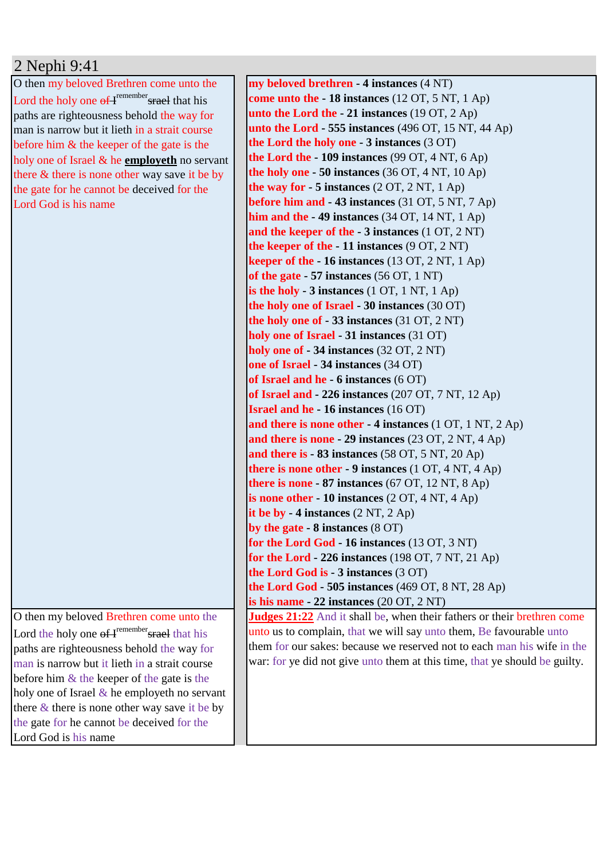## 2 Nephi 9:41

O then my beloved Brethren come unto the Lord the holy one  $\Theta f$ <sup>remember</sup> srael that his paths are righteousness behold the way for man is narrow but it lieth in a strait course before him & the keeper of the gate is the holy one of Israel & he **employeth** no servant there & there is none other way save it be by the gate for he cannot be deceived for the Lord God is his name

O then my beloved Brethren come unto the Lord the holy one  $\theta f$ <sup>remember</sup> srael that his paths are righteousness behold the way for man is narrow but it lieth in a strait course before him  $\&$  the keeper of the gate is the holy one of Israel  $\&$  he employeth no servant there & there is none other way save it be by the gate for he cannot be deceived for the Lord God is his name

**my beloved brethren - 4 instances** (4 NT) **come unto the - 18 instances** (12 OT, 5 NT, 1 Ap) **unto the Lord the - 21 instances** (19 OT, 2 Ap) **unto the Lord - 555 instances** (496 OT, 15 NT, 44 Ap) **the Lord the holy one - 3 instances** (3 OT) **the Lord the - 109 instances** (99 OT, 4 NT, 6 Ap) **the holy one - 50 instances** (36 OT, 4 NT, 10 Ap) **the way for**  $-5$  **instances**  $(2 OT, 2 NT, 1 Ap)$ **before him and - 43 instances** (31 OT, 5 NT, 7 Ap) **him and the - 49 instances** (34 OT, 14 NT, 1 Ap) **and the keeper of the - 3 instances** (1 OT, 2 NT) **the keeper of the - 11 instances** (9 OT, 2 NT) **keeper of the - 16 instances** (13 OT, 2 NT, 1 Ap) **of the gate - 57 instances** (56 OT, 1 NT) **is the holy - 3 instances** (1 OT, 1 NT, 1 Ap) **the holy one of Israel - 30 instances** (30 OT) **the holy one of - 33 instances** (31 OT, 2 NT) **holy one of Israel - 31 instances** (31 OT) **holy one of - 34 instances** (32 OT, 2 NT) **one of Israel - 34 instances** (34 OT) **of Israel and he - 6 instances** (6 OT) **of Israel and - 226 instances** (207 OT, 7 NT, 12 Ap) **Israel and he - 16 instances** (16 OT) **and there is none other - 4 instances** (1 OT, 1 NT, 2 Ap) **and there is none - 29 instances** (23 OT, 2 NT, 4 Ap) **and there is - 83 instances** (58 OT, 5 NT, 20 Ap) **there is none other - 9 instances** (1 OT, 4 NT, 4 Ap) **there is none - 87 instances** (67 OT, 12 NT, 8 Ap) **is none other - 10 instances** (2 OT, 4 NT, 4 Ap) **it be by - 4 instances** (2 NT, 2 Ap) **by the gate - 8 instances** (8 OT) **for the Lord God - 16 instances** (13 OT, 3 NT) **for the Lord - 226 instances** (198 OT, 7 NT, 21 Ap) **the Lord God is - 3 instances** (3 OT) **the Lord God - 505 instances** (469 OT, 8 NT, 28 Ap) **is his name - 22 instances** (20 OT, 2 NT) **Judges 21:22** And it shall be, when their fathers or their brethren come unto us to complain, that we will say unto them, Be favourable unto them for our sakes: because we reserved not to each man his wife in the war: for ye did not give unto them at this time, that ye should be guilty.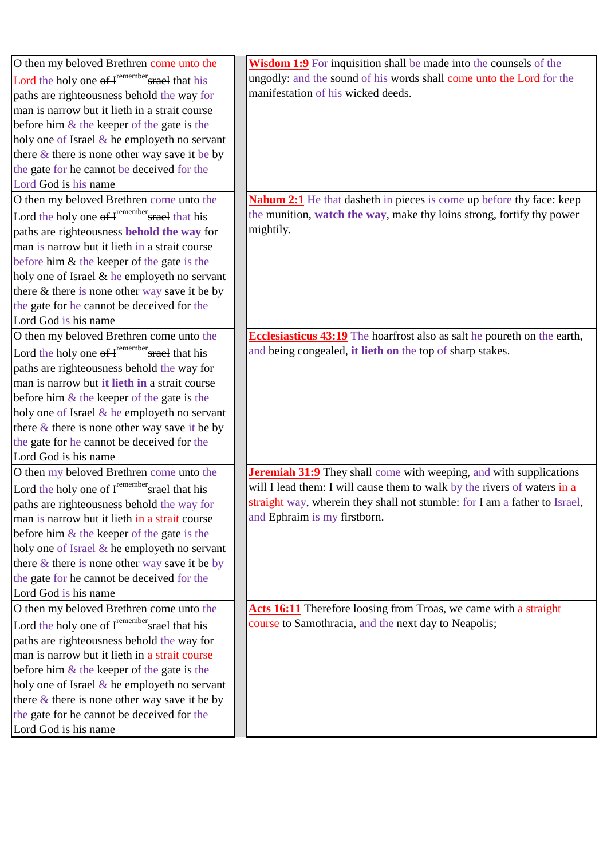| O then my beloved Brethren come unto the                        | Wisdom 1:9 For inquisition shall be made into the counsels of the           |
|-----------------------------------------------------------------|-----------------------------------------------------------------------------|
| Lord the holy one of I <sup>remember</sup> srael that his       | ungodly: and the sound of his words shall come unto the Lord for the        |
| paths are righteousness behold the way for                      | manifestation of his wicked deeds.                                          |
| man is narrow but it lieth in a strait course                   |                                                                             |
| before him $\&$ the keeper of the gate is the                   |                                                                             |
| holy one of Israel $&$ he employeth no servant                  |                                                                             |
| there $\&$ there is none other way save it be by                |                                                                             |
| the gate for he cannot be deceived for the                      |                                                                             |
| Lord God is his name                                            |                                                                             |
| O then my beloved Brethren come unto the                        | <b>Nahum 2:1</b> He that dasheth in pieces is come up before thy face: keep |
| Lord the holy one $\theta f$ <sup>remember</sup> srael that his | the munition, watch the way, make thy loins strong, fortify thy power       |
| paths are righteousness behold the way for                      | mightily.                                                                   |
| man is narrow but it lieth in a strait course                   |                                                                             |
| before him $&$ the keeper of the gate is the                    |                                                                             |
| holy one of Israel & he employeth no servant                    |                                                                             |
| there & there is none other way save it be by                   |                                                                             |
| the gate for he cannot be deceived for the                      |                                                                             |
| Lord God is his name                                            |                                                                             |
| O then my beloved Brethren come unto the                        | Ecclesiasticus 43:19 The hoarfrost also as salt he poureth on the earth,    |
| Lord the holy one $\theta f$ <sup>remember</sup> srael that his | and being congealed, it lieth on the top of sharp stakes.                   |
| paths are righteousness behold the way for                      |                                                                             |
| man is narrow but it lieth in a strait course                   |                                                                             |
| before him $\&$ the keeper of the gate is the                   |                                                                             |
| holy one of Israel $&$ he employeth no servant                  |                                                                             |
| there $\&$ there is none other way save it be by                |                                                                             |
| the gate for he cannot be deceived for the                      |                                                                             |
| Lord God is his name                                            |                                                                             |
| O then my beloved Brethren come unto the                        | <b>Jeremiah 31:9</b> They shall come with weeping, and with supplications   |
| Lord the holy one of H <sup>remember</sup> srael that his       | will I lead them: I will cause them to walk by the rivers of waters in a    |
| paths are righteousness behold the way for                      | straight way, wherein they shall not stumble: for I am a father to Israel,  |
| man is narrow but it lieth in a strait course                   | and Ephraim is my firstborn.                                                |
| before him $&$ the keeper of the gate is the                    |                                                                             |
| holy one of Israel & he employeth no servant                    |                                                                             |
| there $\&$ there is none other way save it be by                |                                                                             |
| the gate for he cannot be deceived for the                      |                                                                             |
| Lord God is his name                                            |                                                                             |
| O then my beloved Brethren come unto the                        | Acts 16:11 Therefore loosing from Troas, we came with a straight            |
| Lord the holy one of H <sup>remember</sup> srael that his       | course to Samothracia, and the next day to Neapolis;                        |
| paths are righteousness behold the way for                      |                                                                             |
| man is narrow but it lieth in a strait course                   |                                                                             |
| before him $\&$ the keeper of the gate is the                   |                                                                             |
| holy one of Israel $\&$ he employeth no servant                 |                                                                             |
| there $\&$ there is none other way save it be by                |                                                                             |
| the gate for he cannot be deceived for the                      |                                                                             |
| Lord God is his name                                            |                                                                             |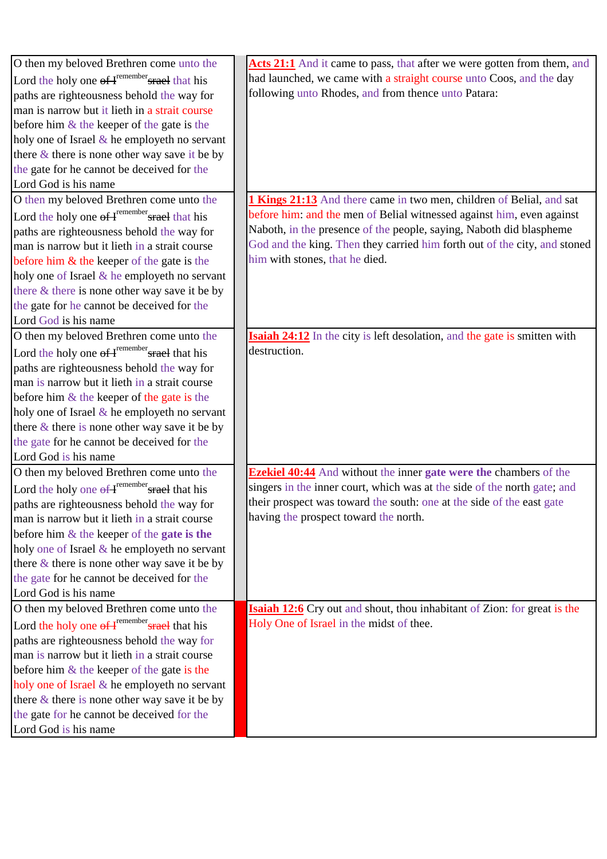| O then my beloved Brethren come unto the                        | Acts 21:1 And it came to pass, that after we were gotten from them, and          |
|-----------------------------------------------------------------|----------------------------------------------------------------------------------|
| Lord the holy one of F <sup>remember</sup> srael that his       | had launched, we came with a straight course unto Coos, and the day              |
| paths are righteousness behold the way for                      | following unto Rhodes, and from thence unto Patara:                              |
| man is narrow but it lieth in a strait course                   |                                                                                  |
| before him $\&$ the keeper of the gate is the                   |                                                                                  |
| holy one of Israel & he employeth no servant                    |                                                                                  |
| there $\&$ there is none other way save it be by                |                                                                                  |
| the gate for he cannot be deceived for the                      |                                                                                  |
| Lord God is his name                                            |                                                                                  |
| O then my beloved Brethren come unto the                        | <b>1 Kings 21:13</b> And there came in two men, children of Belial, and sat      |
| Lord the holy one $\Theta f$ <sup>remember</sup> srael that his | before him: and the men of Belial witnessed against him, even against            |
| paths are righteousness behold the way for                      | Naboth, in the presence of the people, saying, Naboth did blaspheme              |
| man is narrow but it lieth in a strait course                   | God and the king. Then they carried him forth out of the city, and stoned        |
| before him $&$ the keeper of the gate is the                    | him with stones, that he died.                                                   |
| holy one of Israel & he employeth no servant                    |                                                                                  |
| there & there is none other way save it be by                   |                                                                                  |
| the gate for he cannot be deceived for the                      |                                                                                  |
| Lord God is his name                                            |                                                                                  |
| O then my beloved Brethren come unto the                        | <b>Isaiah 24:12</b> In the city is left desolation, and the gate is smitten with |
| Lord the holy one of F <sup>remember</sup> srael that his       | destruction.                                                                     |
| paths are righteousness behold the way for                      |                                                                                  |
| man is narrow but it lieth in a strait course                   |                                                                                  |
| before him $\&$ the keeper of the gate is the                   |                                                                                  |
| holy one of Israel & he employeth no servant                    |                                                                                  |
| there $\&$ there is none other way save it be by                |                                                                                  |
| the gate for he cannot be deceived for the                      |                                                                                  |
| Lord God is his name                                            |                                                                                  |
| O then my beloved Brethren come unto the                        | <b>Ezekiel 40:44</b> And without the inner gate were the chambers of the         |
| Lord the holy one of H <sup>remember</sup> srael that his       | singers in the inner court, which was at the side of the north gate; and         |
| paths are righteousness behold the way for                      | their prospect was toward the south: one at the side of the east gate            |
| man is narrow but it lieth in a strait course                   | having the prospect toward the north.                                            |
| before him $\&$ the keeper of the gate is the                   |                                                                                  |
| holy one of Israel & he employeth no servant                    |                                                                                  |
| there & there is none other way save it be by                   |                                                                                  |
| the gate for he cannot be deceived for the                      |                                                                                  |
| Lord God is his name                                            |                                                                                  |
| O then my beloved Brethren come unto the                        | <b>Isaiah 12:6</b> Cry out and shout, thou inhabitant of Zion: for great is the  |
| Lord the holy one of I <sup>remember</sup> srael that his       | Holy One of Israel in the midst of thee.                                         |
| paths are righteousness behold the way for                      |                                                                                  |
| man is narrow but it lieth in a strait course                   |                                                                                  |
| before him $\&$ the keeper of the gate is the                   |                                                                                  |
| holy one of Israel & he employeth no servant                    |                                                                                  |
| there $\&$ there is none other way save it be by                |                                                                                  |
| the gate for he cannot be deceived for the                      |                                                                                  |
| Lord God is his name                                            |                                                                                  |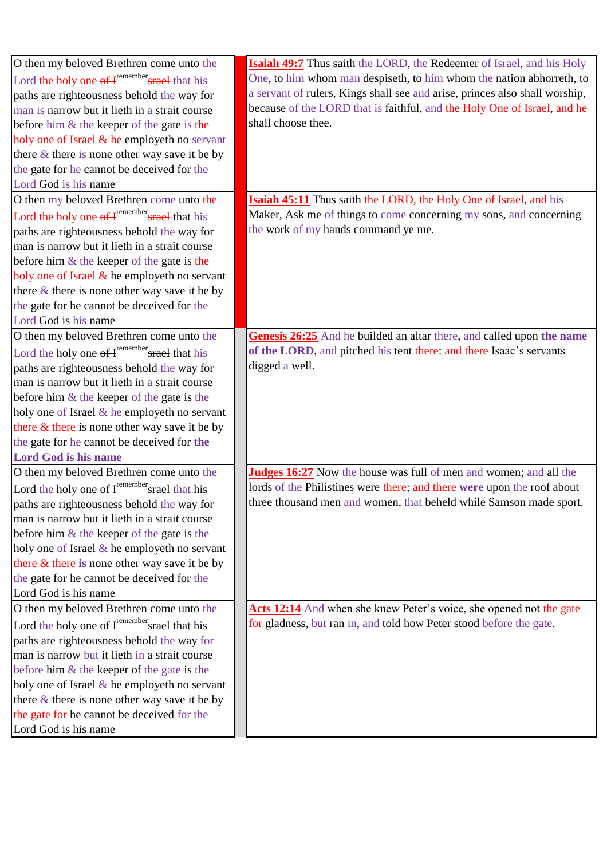| O then my beloved Brethren come unto the                  | <b>Isaiah 49:7</b> Thus saith the LORD, the Redeemer of Israel, and his Holy |
|-----------------------------------------------------------|------------------------------------------------------------------------------|
| Lord the holy one of H <sup>remember</sup> srael that his | One, to him whom man despiseth, to him whom the nation abhorreth, to         |
| paths are righteousness behold the way for                | a servant of rulers, Kings shall see and arise, princes also shall worship,  |
| man is narrow but it lieth in a strait course             | because of the LORD that is faithful, and the Holy One of Israel, and he     |
| before him $&$ the keeper of the gate is the              | shall choose thee.                                                           |
| holy one of Israel & he employeth no servant              |                                                                              |
| there $\&$ there is none other way save it be by          |                                                                              |
| the gate for he cannot be deceived for the                |                                                                              |
| Lord God is his name                                      |                                                                              |
| O then my beloved Brethren come unto the                  | <b>Isaiah 45:11</b> Thus saith the LORD, the Holy One of Israel, and his     |
| Lord the holy one of H <sup>remember</sup> srael that his | Maker, Ask me of things to come concerning my sons, and concerning           |
| paths are righteousness behold the way for                | the work of my hands command ye me.                                          |
| man is narrow but it lieth in a strait course             |                                                                              |
| before him $\&$ the keeper of the gate is the             |                                                                              |
| holy one of Israel & he employeth no servant              |                                                                              |
| there $\&$ there is none other way save it be by          |                                                                              |
| the gate for he cannot be deceived for the                |                                                                              |
| Lord God is his name                                      |                                                                              |
| O then my beloved Brethren come unto the                  | Genesis 26:25 And he builded an altar there, and called upon the name        |
| Lord the holy one of I <sup>remember</sup> srael that his | of the LORD, and pitched his tent there: and there Isaac's servants          |
| paths are righteousness behold the way for                | digged a well.                                                               |
| man is narrow but it lieth in a strait course             |                                                                              |
| before him $\&$ the keeper of the gate is the             |                                                                              |
| holy one of Israel $&$ he employeth no servant            |                                                                              |
| there & there is none other way save it be by             |                                                                              |
| the gate for he cannot be deceived for the                |                                                                              |
| <b>Lord God is his name</b>                               |                                                                              |
| O then my beloved Brethren come unto the                  | Judges 16:27 Now the house was full of men and women; and all the            |
| Lord the holy one of F <sup>remember</sup> srael that his | lords of the Philistines were there; and there were upon the roof about      |
| paths are righteousness behold the way for                | three thousand men and women, that beheld while Samson made sport.           |
| man is narrow but it lieth in a strait course             |                                                                              |
| before him & the keeper of the gate is the                |                                                                              |
| holy one of Israel $\&$ he employeth no servant           |                                                                              |
| there & there is none other way save it be by             |                                                                              |
| the gate for he cannot be deceived for the                |                                                                              |
| Lord God is his name                                      |                                                                              |
| O then my beloved Brethren come unto the                  | Acts 12:14 And when she knew Peter's voice, she opened not the gate          |
| Lord the holy one of H <sup>remember</sup> srael that his | for gladness, but ran in, and told how Peter stood before the gate.          |
| paths are righteousness behold the way for                |                                                                              |
| man is narrow but it lieth in a strait course             |                                                                              |
| before him $\&$ the keeper of the gate is the             |                                                                              |
| holy one of Israel $\&$ he employeth no servant           |                                                                              |
| there $\&$ there is none other way save it be by          |                                                                              |
| the gate for he cannot be deceived for the                |                                                                              |
| Lord God is his name                                      |                                                                              |